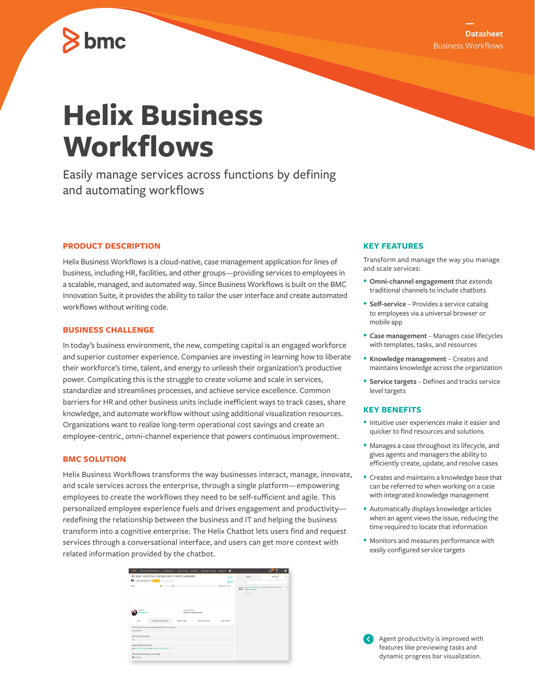**Datasheet** Business Workflows

# bmc

# **Helix Business Workflows**

Easily manage services across functions by defining and automating workflows

### **PRODUCT DESCRIPTION**

Helix Business Workflows is a cloud-native, case management application for lines of business, including HR, facilities, and other groups—providing services to employees in a scalable, managed, and automated way. Since Business Workflows is built on the BMC Innovation Suite, it provides the ability to tailor the user interface and create automated workflows without writing code.

### **BUSINESS CHALLENGE**

In today's business environment, the new, competing capital is an engaged workforce and superior customer experience. Companies are investing in learning how to liberate their workforce's time, talent, and energy to unleash their organization's productive power. Complicating this is the struggle to create volume and scale in services, standardize and streamlines processes, and achieve service excellence. Common barriers for HR and other business units include inefficient ways to track cases, share knowledge, and automate workflow without using additional visualization resources. Organizations want to realize long-term operational cost savings and create an employee-centric, omni-channel experience that powers continuous improvement.

#### **BMC SOLUTION**

Helix Business Workflows transforms the way businesses interact, manage, innovate, and scale services across the enterprise, through a single platform—empowering employees to create the workflows they need to be self-sufficient and agile. This personalized employee experience fuels and drives engagement and productivity redefining the relationship between the business and IT and helping the business transform into a cognitive enterprise. The Helix Chatbot lets users find and request services through a conversational interface, and users can get more context with related information provided by the chatbot.

| bee                                                                                           | Business Workflows ~ Workspace ~                                                     | Quick Case Create - | Manage Catalog    | Reports     | о                      |                                                                                             | Δ         | ۰ |
|-----------------------------------------------------------------------------------------------|--------------------------------------------------------------------------------------|---------------------|-------------------|-------------|------------------------|---------------------------------------------------------------------------------------------|-----------|---|
| My legal name has changed and I need it updated.<br>CASE-0000000179 Manager Monthed Linux ago |                                                                                      |                     |                   |             | 2.146<br><b>O</b> feat | Actuary<br>AA4 a neile                                                                      | Resources |   |
| $Mew -$                                                                                       | $\odot$                                                                              |                     |                   |             | C Due in 21 hrs.       | New CASE-0000000179 created by Elizabeth Peters in<br>ସ<br>Digital Workstage<br>3 hours ago |           | a |
| Support Group<br>Assignee<br>Workforce Administration<br><b>Earnah Haas</b>                   |                                                                                      |                     |                   |             |                        |                                                                                             |           |   |
| <b>Tasks</b><br>Lica Peterson                                                                 | Employee's Personnes<br>Enter the name as you wish people to find you in the system. | Related Cases       | Subject Employees | Case Access |                        |                                                                                             |           |   |
| Enter reason for change<br>273                                                                |                                                                                      |                     |                   |             |                        |                                                                                             |           |   |
| Supporting Decumentation                                                                      | # 8WI JIM LODD (Mg # Calendar 2018, 2019 (M)                                         |                     |                   |             |                        |                                                                                             |           |   |
| Enter the Effective Date for this Change<br>■ 2018-06-01                                      |                                                                                      |                     |                   |             |                        |                                                                                             |           |   |

## **KEY FEATURES**

Transform and manage the way you manage and scale services:

- **Omni-channel engagement** that extends traditional channels to include chatbots
- **Self-service**  Provides a service catalog to employees via a universal browser or mobile app
- **Case management**  Manages case lifecycles with templates, tasks, and resources
- **Knowledge management** Creates and maintains knowledge across the organization
- **Service targets** Defines and tracks service level targets

#### **KEY BENEFITS**

- Intuitive user experiences make it easier and quicker to find resources and solutions
- Manages a case throughout its lifecycle, and gives agents and managers the ability to efficiently create, update, and resolve cases
- Creates and maintains a knowledge base that can be referred to when working on a case with integrated knowledge management
- Automatically displays knowledge articles when an agent views the issue, reducing the time required to locate that information
- Monitors and measures performance with easily configured service targets

Agent productivity is improved with features like previewing tasks and dynamic progress bar visualization.